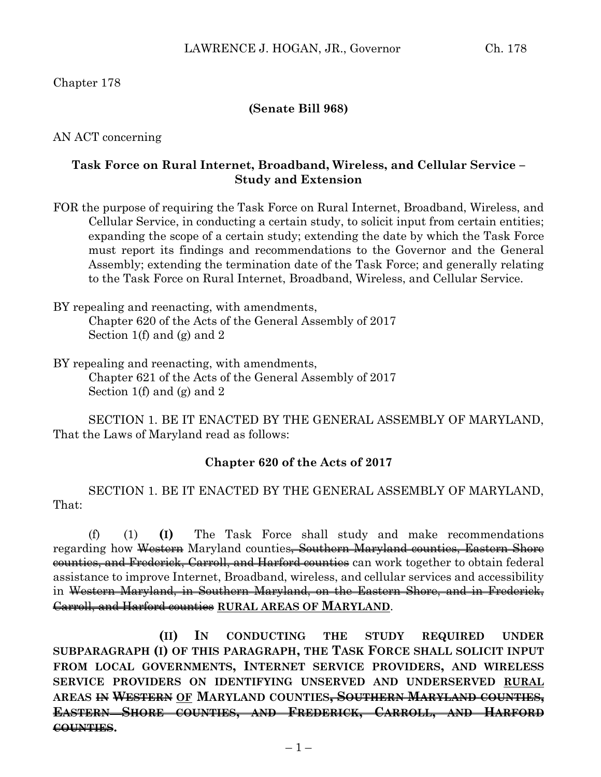#### **(Senate Bill 968)**

AN ACT concerning

## **Task Force on Rural Internet, Broadband, Wireless, and Cellular Service – Study and Extension**

- FOR the purpose of requiring the Task Force on Rural Internet, Broadband, Wireless, and Cellular Service, in conducting a certain study, to solicit input from certain entities; expanding the scope of a certain study; extending the date by which the Task Force must report its findings and recommendations to the Governor and the General Assembly; extending the termination date of the Task Force; and generally relating to the Task Force on Rural Internet, Broadband, Wireless, and Cellular Service.
- BY repealing and reenacting, with amendments, Chapter 620 of the Acts of the General Assembly of 2017 Section 1(f) and (g) and 2
- BY repealing and reenacting, with amendments, Chapter 621 of the Acts of the General Assembly of 2017 Section 1(f) and (g) and 2

SECTION 1. BE IT ENACTED BY THE GENERAL ASSEMBLY OF MARYLAND, That the Laws of Maryland read as follows:

### **Chapter 620 of the Acts of 2017**

SECTION 1. BE IT ENACTED BY THE GENERAL ASSEMBLY OF MARYLAND, That:

(f) (1) **(I)** The Task Force shall study and make recommendations regarding how Western Maryland counties, Southern Maryland counties, Eastern Shore counties, and Frederick, Carroll, and Harford counties can work together to obtain federal assistance to improve Internet, Broadband, wireless, and cellular services and accessibility in Western Maryland, in Southern Maryland, on the Eastern Shore, and in Frederick, Carroll, and Harford counties **RURAL AREAS OF MARYLAND**.

**(II) IN CONDUCTING THE STUDY REQUIRED UNDER SUBPARAGRAPH (I) OF THIS PARAGRAPH, THE TASK FORCE SHALL SOLICIT INPUT FROM LOCAL GOVERNMENTS, INTERNET SERVICE PROVIDERS, AND WIRELESS SERVICE PROVIDERS ON IDENTIFYING UNSERVED AND UNDERSERVED RURAL AREAS IN WESTERN OF MARYLAND COUNTIES, SOUTHERN MARYLAND COUNTIES, EASTERN SHORE COUNTIES, AND FREDERICK, CARROLL, AND HARFORD COUNTIES.**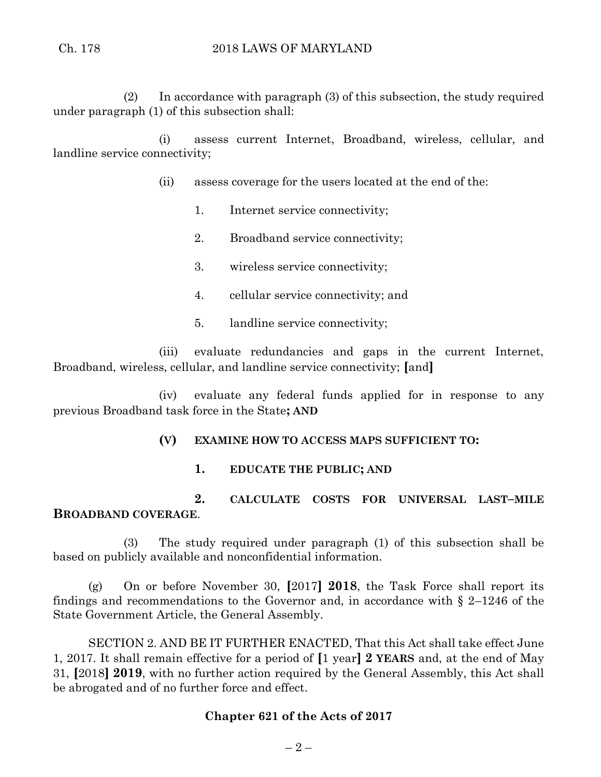(2) In accordance with paragraph (3) of this subsection, the study required under paragraph (1) of this subsection shall:

(i) assess current Internet, Broadband, wireless, cellular, and landline service connectivity;

- (ii) assess coverage for the users located at the end of the:
	- 1. Internet service connectivity;
	- 2. Broadband service connectivity;
	- 3. wireless service connectivity;
	- 4. cellular service connectivity; and
	- 5. landline service connectivity;

(iii) evaluate redundancies and gaps in the current Internet, Broadband, wireless, cellular, and landline service connectivity; **[**and**]**

(iv) evaluate any federal funds applied for in response to any previous Broadband task force in the State**; AND**

## **(V) EXAMINE HOW TO ACCESS MAPS SUFFICIENT TO:**

**1. EDUCATE THE PUBLIC; AND** 

**2. CALCULATE COSTS FOR UNIVERSAL LAST–MILE BROADBAND COVERAGE**.

(3) The study required under paragraph (1) of this subsection shall be based on publicly available and nonconfidential information.

(g) On or before November 30, **[**2017**] 2018**, the Task Force shall report its findings and recommendations to the Governor and, in accordance with  $\S$  2–1246 of the State Government Article, the General Assembly.

SECTION 2. AND BE IT FURTHER ENACTED, That this Act shall take effect June 1, 2017. It shall remain effective for a period of **[**1 year**] 2 YEARS** and, at the end of May 31, **[**2018**] 2019**, with no further action required by the General Assembly, this Act shall be abrogated and of no further force and effect.

## **Chapter 621 of the Acts of 2017**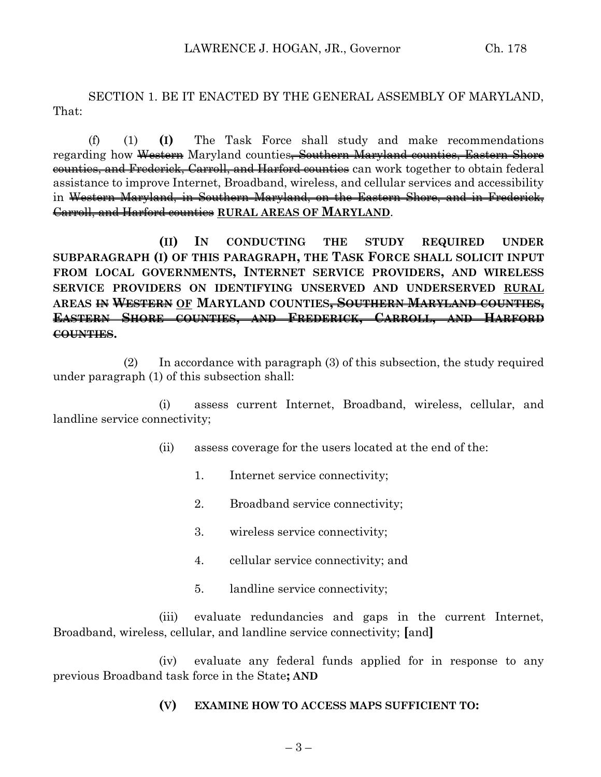SECTION 1. BE IT ENACTED BY THE GENERAL ASSEMBLY OF MARYLAND, That:

(f) (1) **(I)** The Task Force shall study and make recommendations regarding how Western Maryland counties<del>, Southern Maryland counties, Eastern Shore</del> counties, and Frederick, Carroll, and Harford counties can work together to obtain federal assistance to improve Internet, Broadband, wireless, and cellular services and accessibility in Western Maryland, in Southern Maryland, on the Eastern Shore, and in Frederick, Carroll, and Harford counties **RURAL AREAS OF MARYLAND**.

**(II) IN CONDUCTING THE STUDY REQUIRED UNDER SUBPARAGRAPH (I) OF THIS PARAGRAPH, THE TASK FORCE SHALL SOLICIT INPUT FROM LOCAL GOVERNMENTS, INTERNET SERVICE PROVIDERS, AND WIRELESS SERVICE PROVIDERS ON IDENTIFYING UNSERVED AND UNDERSERVED RURAL AREAS IN WESTERN OF MARYLAND COUNTIES, SOUTHERN MARYLAND COUNTIES, EASTERN SHORE COUNTIES, AND FREDERICK, CARROLL, AND HARFORD COUNTIES.**

(2) In accordance with paragraph (3) of this subsection, the study required under paragraph (1) of this subsection shall:

(i) assess current Internet, Broadband, wireless, cellular, and landline service connectivity;

- (ii) assess coverage for the users located at the end of the:
	- 1. Internet service connectivity;
	- 2. Broadband service connectivity;
	- 3. wireless service connectivity;
	- 4. cellular service connectivity; and
	- 5. landline service connectivity;

(iii) evaluate redundancies and gaps in the current Internet, Broadband, wireless, cellular, and landline service connectivity; **[**and**]**

(iv) evaluate any federal funds applied for in response to any previous Broadband task force in the State**; AND**

#### **(V) EXAMINE HOW TO ACCESS MAPS SUFFICIENT TO:**